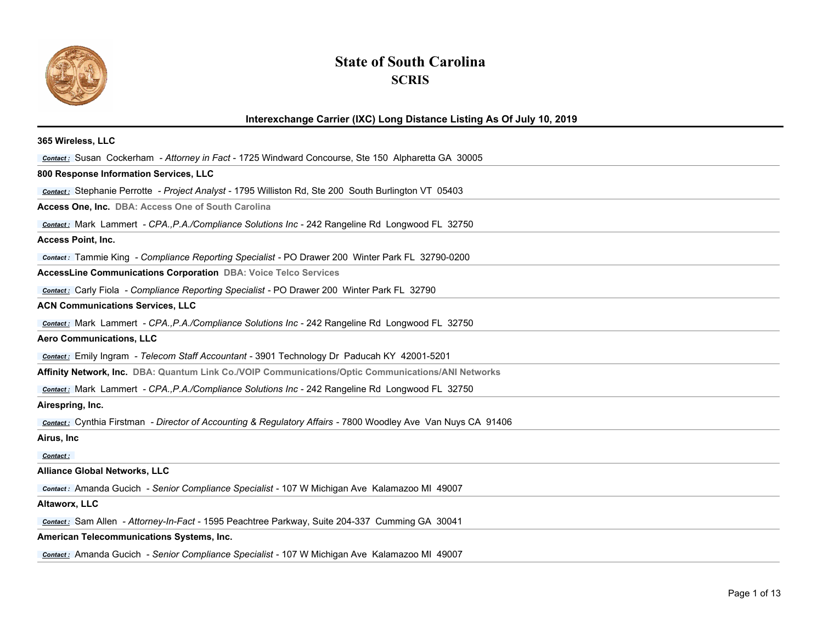

## **State of South Carolina SCRIS**

## **Interexchange Carrier (IXC) Long Distance Listing As Of July 10, 2019 365 Wireless, LLC**  *Contact :* Susan Cockerham *- Attorney in Fact* - 1725 Windward Concourse, Ste 150 Alpharetta GA 30005 **800 Response Information Services, LLC**  *Contact :* Stephanie Perrotte *- Project Analyst* - 1795 Williston Rd, Ste 200 South Burlington VT 05403 **Access One, Inc. DBA: Access One of South Carolina** *Contact :* Mark Lammert *- CPA.,P.A./Compliance Solutions Inc* - 242 Rangeline Rd Longwood FL 32750 **Access Point, Inc.**  *Contact :* Tammie King *- Compliance Reporting Specialist* - PO Drawer 200 Winter Park FL 32790-0200 **AccessLine Communications Corporation DBA: Voice Telco Services** *Contact :* Carly Fiola *- Compliance Reporting Specialist* - PO Drawer 200 Winter Park FL 32790 **ACN Communications Services, LLC**  *Contact :* Mark Lammert *- CPA.,P.A./Compliance Solutions Inc* - 242 Rangeline Rd Longwood FL 32750 **Aero Communications, LLC**  *Contact :* Emily Ingram *- Telecom Staff Accountant* - 3901 Technology Dr Paducah KY 42001-5201 **Affinity Network, Inc. DBA: Quantum Link Co./VOIP Communications/Optic Communications/ANI Networks** *Contact :* Mark Lammert *- CPA.,P.A./Compliance Solutions Inc* - 242 Rangeline Rd Longwood FL 32750 **Airespring, Inc.**  *Contact :* Cynthia Firstman *- Director of Accounting & Regulatory Affairs* - 7800 Woodley Ave Van Nuys CA 91406 **Airus, Inc**  *Contact :* **Alliance Global Networks, LLC**

*Contact :* Amanda Gucich *- Senior Compliance Specialist* - 107 W Michigan Ave Kalamazoo MI 49007

## **Altaworx, LLC**

*Contact :* Sam Allen *- Attorney-In-Fact* - 1595 Peachtree Parkway, Suite 204-337 Cumming GA 30041

## **American Telecommunications Systems, Inc.**

*Contact :* Amanda Gucich *- Senior Compliance Specialist* - 107 W Michigan Ave Kalamazoo MI 49007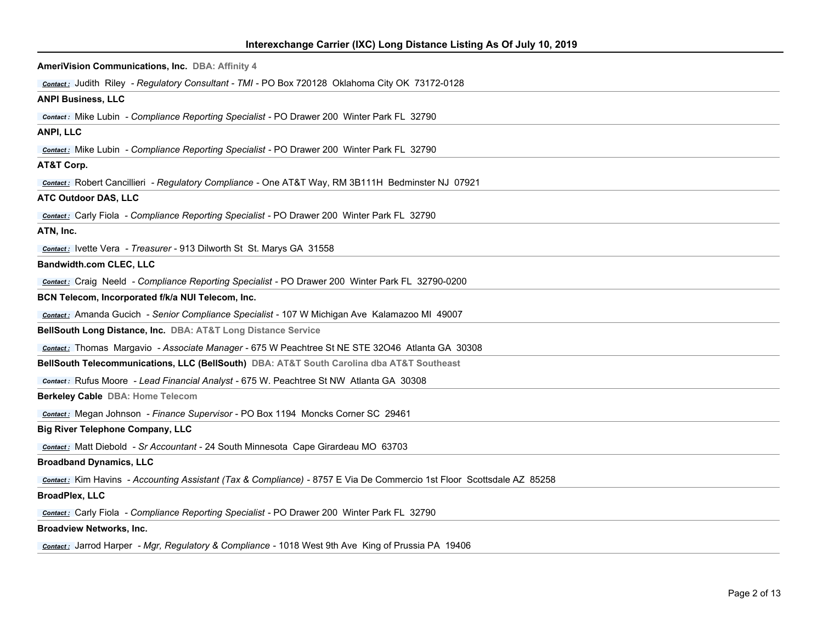| AmeriVision Communications, Inc. DBA: Affinity 4                                                                      |
|-----------------------------------------------------------------------------------------------------------------------|
| Contact: Judith Riley - Regulatory Consultant - TMI - PO Box 720128 Oklahoma City OK 73172-0128                       |
| <b>ANPI Business, LLC</b>                                                                                             |
| <b>Contact:</b> Mike Lubin - Compliance Reporting Specialist - PO Drawer 200 Winter Park FL 32790                     |
| ANPI, LLC                                                                                                             |
| <b>Contact:</b> Mike Lubin - Compliance Reporting Specialist - PO Drawer 200 Winter Park FL 32790                     |
| AT&T Corp.                                                                                                            |
| <b>Contact:</b> Robert Cancillieri - Regulatory Compliance - One AT&T Way, RM 3B111H Bedminster NJ 07921              |
| <b>ATC Outdoor DAS, LLC</b>                                                                                           |
| <b>Contact:</b> Carly Fiola - Compliance Reporting Specialist - PO Drawer 200 Winter Park FL 32790                    |
| ATN, Inc.                                                                                                             |
| <b>Contact:</b> Ivette Vera - Treasurer - 913 Dilworth St St. Marys GA 31558                                          |
| <b>Bandwidth.com CLEC, LLC</b>                                                                                        |
| <b>Contact:</b> Craig Neeld - Compliance Reporting Specialist - PO Drawer 200 Winter Park FL 32790-0200               |
| BCN Telecom, Incorporated f/k/a NUI Telecom, Inc.                                                                     |
| <b>Contact:</b> Amanda Gucich - Senior Compliance Specialist - 107 W Michigan Ave Kalamazoo MI 49007                  |
| BellSouth Long Distance, Inc. DBA: AT&T Long Distance Service                                                         |
| Contact: Thomas Margavio - Associate Manager - 675 W Peachtree St NE STE 32046 Atlanta GA 30308                       |
| BellSouth Telecommunications, LLC (BellSouth) DBA: AT&T South Carolina dba AT&T Southeast                             |
| <b>Contact:</b> Rufus Moore - Lead Financial Analyst - 675 W. Peachtree St NW Atlanta GA 30308                        |
| Berkeley Cable DBA: Home Telecom                                                                                      |
| <b>Contact:</b> Megan Johnson - Finance Supervisor - PO Box 1194 Moncks Corner SC 29461                               |
| <b>Big River Telephone Company, LLC</b>                                                                               |
| <b>Contact:</b> Matt Diebold - Sr Accountant - 24 South Minnesota Cape Girardeau MO 63703                             |
| <b>Broadband Dynamics, LLC</b>                                                                                        |
| contact: Kim Havins - Accounting Assistant (Tax & Compliance) - 8757 E Via De Commercio 1st Floor Scottsdale AZ 85258 |
| <b>BroadPlex, LLC</b>                                                                                                 |
| <b>Contact:</b> Carly Fiola - Compliance Reporting Specialist - PO Drawer 200 Winter Park FL 32790                    |
| <b>Broadview Networks, Inc.</b>                                                                                       |
|                                                                                                                       |

*Contact :* Jarrod Harper *- Mgr, Regulatory & Compliance* - 1018 West 9th Ave King of Prussia PA 19406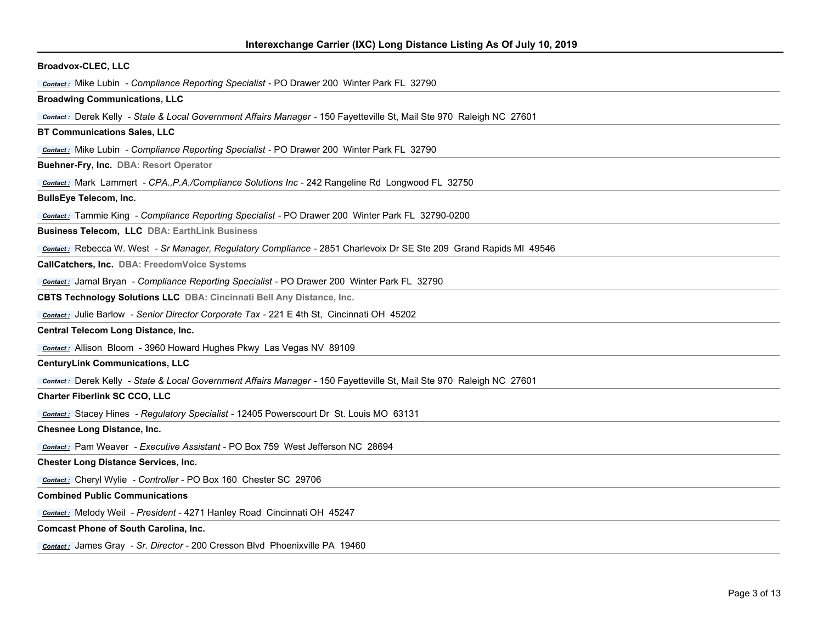| <b>Broadvox-CLEC, LLC</b>                                                                                            |
|----------------------------------------------------------------------------------------------------------------------|
| <b>Contact:</b> Mike Lubin - Compliance Reporting Specialist - PO Drawer 200 Winter Park FL 32790                    |
| <b>Broadwing Communications, LLC</b>                                                                                 |
| contact: Derek Kelly - State & Local Government Affairs Manager - 150 Fayetteville St, Mail Ste 970 Raleigh NC 27601 |
| <b>BT Communications Sales, LLC</b>                                                                                  |
| <b>Contact:</b> Mike Lubin - Compliance Reporting Specialist - PO Drawer 200 Winter Park FL 32790                    |
| Buehner-Fry, Inc. DBA: Resort Operator                                                                               |
| <b>Contact:</b> Mark Lammert - CPA., P.A./Compliance Solutions Inc - 242 Rangeline Rd Longwood FL 32750              |
| <b>BullsEye Telecom, Inc.</b>                                                                                        |
| <b>Contact:</b> Tammie King - Compliance Reporting Specialist - PO Drawer 200 Winter Park FL 32790-0200              |
| <b>Business Telecom, LLC DBA: EarthLink Business</b>                                                                 |
| Contact: Rebecca W. West - Sr Manager, Regulatory Compliance - 2851 Charlevoix Dr SE Ste 209 Grand Rapids MI 49546   |
| CallCatchers, Inc. DBA: FreedomVoice Systems                                                                         |
| <b>Contact:</b> Jamal Bryan - Compliance Reporting Specialist - PO Drawer 200 Winter Park FL 32790                   |
| CBTS Technology Solutions LLC DBA: Cincinnati Bell Any Distance, Inc.                                                |
| Contact: Julie Barlow - Senior Director Corporate Tax - 221 E 4th St, Cincinnati OH 45202                            |
| Central Telecom Long Distance, Inc.                                                                                  |
| Contact: Allison Bloom - 3960 Howard Hughes Pkwy Las Vegas NV 89109                                                  |
| <b>CenturyLink Communications, LLC</b>                                                                               |
| contact: Derek Kelly - State & Local Government Affairs Manager - 150 Fayetteville St, Mail Ste 970 Raleigh NC 27601 |
| <b>Charter Fiberlink SC CCO, LLC</b>                                                                                 |
| <b>Contact:</b> Stacey Hines - Regulatory Specialist - 12405 Powerscourt Dr St. Louis MO 63131                       |
| Chesnee Long Distance, Inc.                                                                                          |
| Contact: Pam Weaver - Executive Assistant - PO Box 759 West Jefferson NC 28694                                       |
| <b>Chester Long Distance Services, Inc.</b>                                                                          |
| Contact: Cheryl Wylie - Controller - PO Box 160 Chester SC 29706                                                     |
| <b>Combined Public Communications</b>                                                                                |
| Contact: Melody Weil - President - 4271 Hanley Road Cincinnati OH 45247                                              |
| <b>Comcast Phone of South Carolina, Inc.</b>                                                                         |
| <b>Contact:</b> James Gray - Sr. Director - 200 Cresson Blvd Phoenixville PA 19460                                   |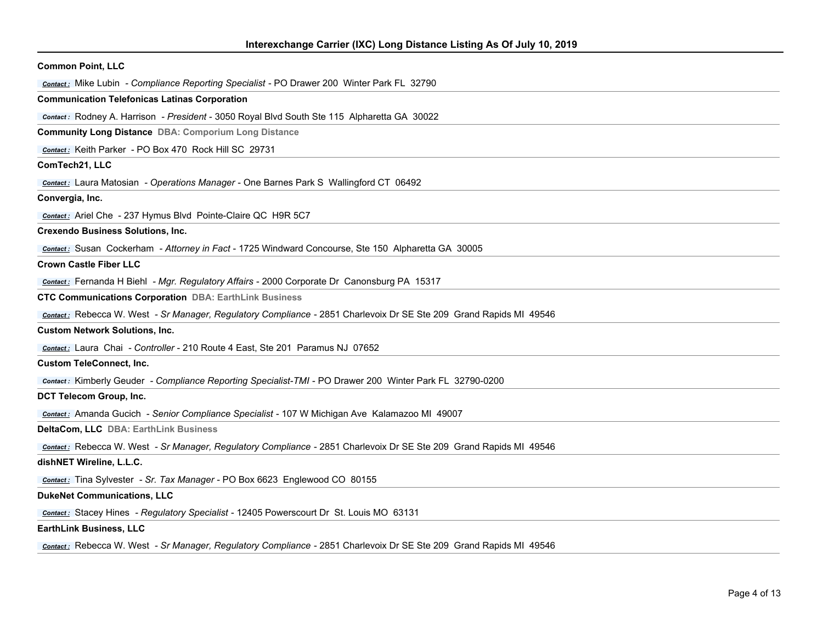| <b>Common Point, LLC</b>                                                                                           |
|--------------------------------------------------------------------------------------------------------------------|
| <b>Contact:</b> Mike Lubin - Compliance Reporting Specialist - PO Drawer 200 Winter Park FL 32790                  |
| <b>Communication Telefonicas Latinas Corporation</b>                                                               |
| <b>Contact:</b> Rodney A. Harrison - President - 3050 Royal Blvd South Ste 115 Alpharetta GA 30022                 |
| <b>Community Long Distance DBA: Comporium Long Distance</b>                                                        |
| Contact: Keith Parker - PO Box 470 Rock Hill SC 29731                                                              |
| ComTech21, LLC                                                                                                     |
| <b>Contact:</b> Laura Matosian - Operations Manager - One Barnes Park S Wallingford CT 06492                       |
| Convergia, Inc.                                                                                                    |
| Contact: Ariel Che - 237 Hymus Blvd Pointe-Claire QC H9R 5C7                                                       |
| <b>Crexendo Business Solutions, Inc.</b>                                                                           |
| contact: Susan Cockerham - Attorney in Fact - 1725 Windward Concourse, Ste 150 Alpharetta GA 30005                 |
| <b>Crown Castle Fiber LLC</b>                                                                                      |
| Contact: Fernanda H Biehl - Mgr. Regulatory Affairs - 2000 Corporate Dr Canonsburg PA 15317                        |
| <b>CTC Communications Corporation DBA: EarthLink Business</b>                                                      |
| Contact: Rebecca W. West - Sr Manager, Regulatory Compliance - 2851 Charlevoix Dr SE Ste 209 Grand Rapids MI 49546 |
| <b>Custom Network Solutions, Inc.</b>                                                                              |
| Contact: Laura Chai - Controller - 210 Route 4 East, Ste 201 Paramus NJ 07652                                      |
| <b>Custom TeleConnect, Inc.</b>                                                                                    |
| contact: Kimberly Geuder - Compliance Reporting Specialist-TMI - PO Drawer 200 Winter Park FL 32790-0200           |
| DCT Telecom Group, Inc.                                                                                            |
| contact: Amanda Gucich - Senior Compliance Specialist - 107 W Michigan Ave Kalamazoo MI 49007                      |
| DeltaCom, LLC DBA: EarthLink Business                                                                              |
| Contact: Rebecca W. West - Sr Manager, Regulatory Compliance - 2851 Charlevoix Dr SE Ste 209 Grand Rapids MI 49546 |
| dishNET Wireline, L.L.C.                                                                                           |
| contact: Tina Sylvester - Sr. Tax Manager - PO Box 6623 Englewood CO 80155                                         |
| <b>DukeNet Communications, LLC</b>                                                                                 |
| <b>Contact:</b> Stacey Hines - Regulatory Specialist - 12405 Powerscourt Dr St. Louis MO 63131                     |
| <b>EarthLink Business, LLC</b>                                                                                     |
| Contact: Rebecca W. West - Sr Manager, Regulatory Compliance - 2851 Charlevoix Dr SE Ste 209 Grand Rapids MI 49546 |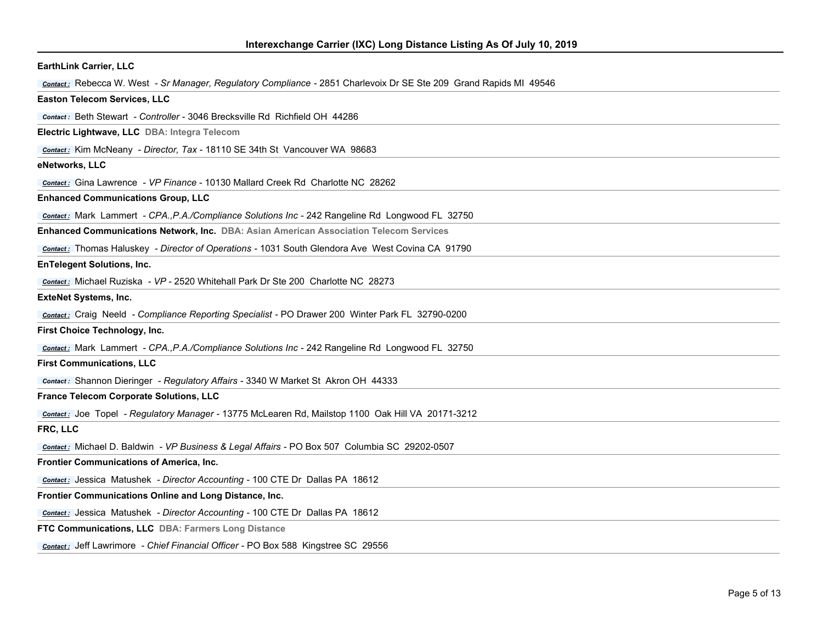| <b>EarthLink Carrier, LLC</b>                                                                                      |
|--------------------------------------------------------------------------------------------------------------------|
| Contact: Rebecca W. West - Sr Manager, Regulatory Compliance - 2851 Charlevoix Dr SE Ste 209 Grand Rapids MI 49546 |
| <b>Easton Telecom Services, LLC</b>                                                                                |
| Contact: Beth Stewart - Controller - 3046 Brecksville Rd Richfield OH 44286                                        |
| Electric Lightwave, LLC DBA: Integra Telecom                                                                       |
| Contact: Kim McNeany - Director, Tax - 18110 SE 34th St Vancouver WA 98683                                         |
| eNetworks, LLC                                                                                                     |
| Contact: Gina Lawrence - VP Finance - 10130 Mallard Creek Rd Charlotte NC 28262                                    |
| <b>Enhanced Communications Group, LLC</b>                                                                          |
| <b>Contact:</b> Mark Lammert - CPA., P.A./Compliance Solutions Inc - 242 Rangeline Rd Longwood FL 32750            |
| Enhanced Communications Network, Inc. DBA: Asian American Association Telecom Services                             |
| Contact: Thomas Haluskey - Director of Operations - 1031 South Glendora Ave West Covina CA 91790                   |
| <b>EnTelegent Solutions, Inc.</b>                                                                                  |
| Contact: Michael Ruziska - VP - 2520 Whitehall Park Dr Ste 200 Charlotte NC 28273                                  |
| <b>ExteNet Systems, Inc.</b>                                                                                       |
| <b>Contact:</b> Craig Neeld - Compliance Reporting Specialist - PO Drawer 200 Winter Park FL 32790-0200            |
| First Choice Technology, Inc.                                                                                      |
| Contact: Mark Lammert - CPA., P.A./Compliance Solutions Inc - 242 Rangeline Rd Longwood FL 32750                   |
| <b>First Communications, LLC</b>                                                                                   |
| <b>Contact:</b> Shannon Dieringer - Regulatory Affairs - 3340 W Market St Akron OH 44333                           |
| France Telecom Corporate Solutions, LLC                                                                            |
| Contact: Joe Topel - Regulatory Manager - 13775 McLearen Rd, Mailstop 1100 Oak Hill VA 20171-3212                  |
| FRC, LLC                                                                                                           |
| Contact: Michael D. Baldwin - VP Business & Legal Affairs - PO Box 507 Columbia SC 29202-0507                      |
| <b>Frontier Communications of America, Inc.</b>                                                                    |
| Contact: Jessica Matushek - Director Accounting - 100 CTE Dr Dallas PA 18612                                       |
| Frontier Communications Online and Long Distance, Inc.                                                             |
| Contact: Jessica Matushek - Director Accounting - 100 CTE Dr Dallas PA 18612                                       |
| FTC Communications, LLC DBA: Farmers Long Distance                                                                 |
| Contact: Jeff Lawrimore - Chief Financial Officer - PO Box 588 Kingstree SC 29556                                  |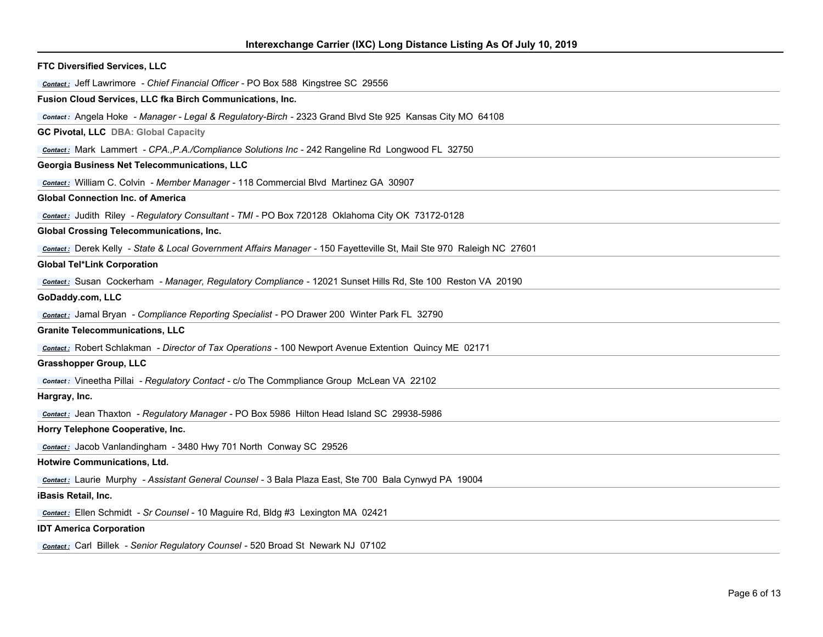| <b>FTC Diversified Services, LLC</b>                                                                                 |
|----------------------------------------------------------------------------------------------------------------------|
| <b>Contact:</b> Jeff Lawrimore - Chief Financial Officer - PO Box 588 Kingstree SC 29556                             |
| Fusion Cloud Services, LLC fka Birch Communications, Inc.                                                            |
| Contact: Angela Hoke - Manager - Legal & Regulatory-Birch - 2323 Grand Blvd Ste 925 Kansas City MO 64108             |
| <b>GC Pivotal, LLC DBA: Global Capacity</b>                                                                          |
| Contact: Mark Lammert - CPA., P.A./Compliance Solutions Inc - 242 Rangeline Rd Longwood FL 32750                     |
| Georgia Business Net Telecommunications, LLC                                                                         |
| <b>Contact:</b> William C. Colvin - Member Manager - 118 Commercial Blvd Martinez GA 30907                           |
| <b>Global Connection Inc. of America</b>                                                                             |
| Contact: Judith Riley - Regulatory Consultant - TMI - PO Box 720128 Oklahoma City OK 73172-0128                      |
| <b>Global Crossing Telecommunications, Inc.</b>                                                                      |
| contact: Derek Kelly - State & Local Government Affairs Manager - 150 Fayetteville St, Mail Ste 970 Raleigh NC 27601 |
| <b>Global Tel*Link Corporation</b>                                                                                   |
| Contact: Susan Cockerham - Manager, Regulatory Compliance - 12021 Sunset Hills Rd, Ste 100 Reston VA 20190           |
| GoDaddy.com, LLC                                                                                                     |
| <b>Contact:</b> Jamal Bryan - Compliance Reporting Specialist - PO Drawer 200 Winter Park FL 32790                   |
| <b>Granite Telecommunications, LLC</b>                                                                               |
| Contact: Robert Schlakman - Director of Tax Operations - 100 Newport Avenue Extention Quincy ME 02171                |
| <b>Grasshopper Group, LLC</b>                                                                                        |
| <b>Contact:</b> Vineetha Pillai - Regulatory Contact - c/o The Commpliance Group McLean VA 22102                     |
| Hargray, Inc.                                                                                                        |
| Contact: Jean Thaxton - Regulatory Manager - PO Box 5986 Hilton Head Island SC 29938-5986                            |
| Horry Telephone Cooperative, Inc.                                                                                    |
| Contact: Jacob Vanlandingham - 3480 Hwy 701 North Conway SC 29526                                                    |
| Hotwire Communications, Ltd.                                                                                         |
| contact: Laurie Murphy - Assistant General Counsel - 3 Bala Plaza East, Ste 700 Bala Cynwyd PA 19004                 |
| iBasis Retail, Inc.                                                                                                  |
| contact: Ellen Schmidt - Sr Counsel - 10 Maguire Rd, Bldg #3 Lexington MA 02421                                      |
| <b>IDT America Corporation</b>                                                                                       |
| <b>Contact:</b> Carl Billek - Senior Regulatory Counsel - 520 Broad St Newark NJ 07102                               |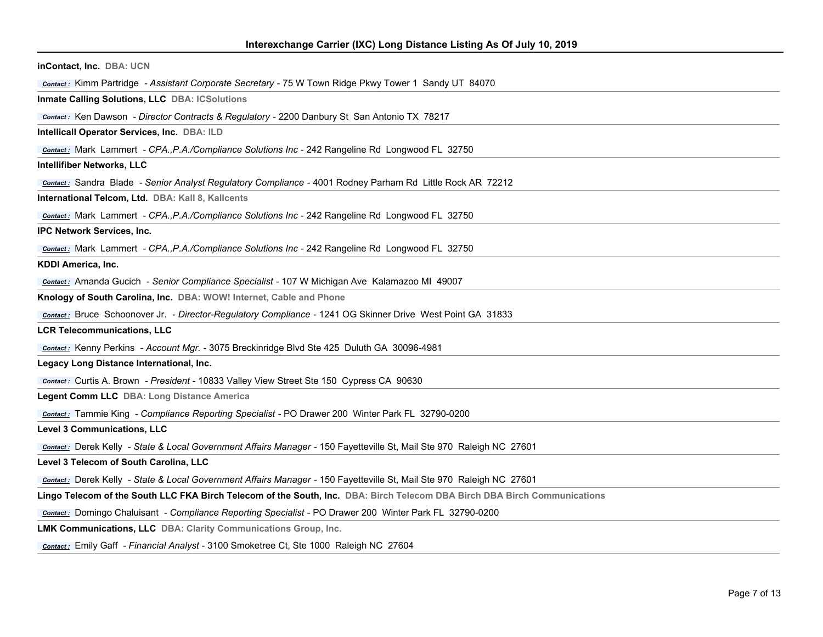| inContact, Inc. DBA: UCN                                                                                                  |
|---------------------------------------------------------------------------------------------------------------------------|
| Contact: Kimm Partridge - Assistant Corporate Secretary - 75 W Town Ridge Pkwy Tower 1 Sandy UT 84070                     |
| Inmate Calling Solutions, LLC DBA: ICSolutions                                                                            |
| contact: Ken Dawson - Director Contracts & Regulatory - 2200 Danbury St San Antonio TX 78217                              |
| Intellicall Operator Services, Inc. DBA: ILD                                                                              |
| <b>Contact:</b> Mark Lammert - CPA., P.A./Compliance Solutions Inc - 242 Rangeline Rd Longwood FL 32750                   |
| <b>Intellifiber Networks, LLC</b>                                                                                         |
| <b>Contact:</b> Sandra Blade - Senior Analyst Regulatory Compliance - 4001 Rodney Parham Rd Little Rock AR 72212          |
| International Telcom, Ltd. DBA: Kall 8, Kallcents                                                                         |
| <b>Contact:</b> Mark Lammert - CPA., P.A./Compliance Solutions Inc - 242 Rangeline Rd Longwood FL 32750                   |
| <b>IPC Network Services, Inc.</b>                                                                                         |
| contact: Mark Lammert - CPA., P.A./Compliance Solutions Inc - 242 Rangeline Rd Longwood FL 32750                          |
| <b>KDDI America, Inc.</b>                                                                                                 |
| <b>Contact:</b> Amanda Gucich - Senior Compliance Specialist - 107 W Michigan Ave Kalamazoo MI 49007                      |
| Knology of South Carolina, Inc. DBA: WOW! Internet, Cable and Phone                                                       |
| Contact: Bruce Schoonover Jr. - Director-Regulatory Compliance - 1241 OG Skinner Drive West Point GA 31833                |
| <b>LCR Telecommunications, LLC</b>                                                                                        |
| <b>Contact:</b> Kenny Perkins - Account Mgr. - 3075 Breckinridge Blvd Ste 425 Duluth GA 30096-4981                        |
| Legacy Long Distance International, Inc.                                                                                  |
| <b>Contact:</b> Curtis A. Brown - President - 10833 Valley View Street Ste 150 Cypress CA 90630                           |
| Legent Comm LLC DBA: Long Distance America                                                                                |
| <b>Contact:</b> Tammie King - Compliance Reporting Specialist - PO Drawer 200 Winter Park FL 32790-0200                   |
| <b>Level 3 Communications, LLC</b>                                                                                        |
| contact: Derek Kelly - State & Local Government Affairs Manager - 150 Fayetteville St, Mail Ste 970 Raleigh NC 27601      |
| Level 3 Telecom of South Carolina, LLC                                                                                    |
| contact: Derek Kelly - State & Local Government Affairs Manager - 150 Fayetteville St, Mail Ste 970 Raleigh NC 27601      |
| Lingo Telecom of the South LLC FKA Birch Telecom of the South, Inc. DBA: Birch Telecom DBA Birch DBA Birch Communications |
| <b>Contact:</b> Domingo Chaluisant - Compliance Reporting Specialist - PO Drawer 200 Winter Park FL 32790-0200            |
| LMK Communications, LLC DBA: Clarity Communications Group, Inc.                                                           |
| contact: Emily Gaff - Financial Analyst - 3100 Smoketree Ct, Ste 1000 Raleigh NC 27604                                    |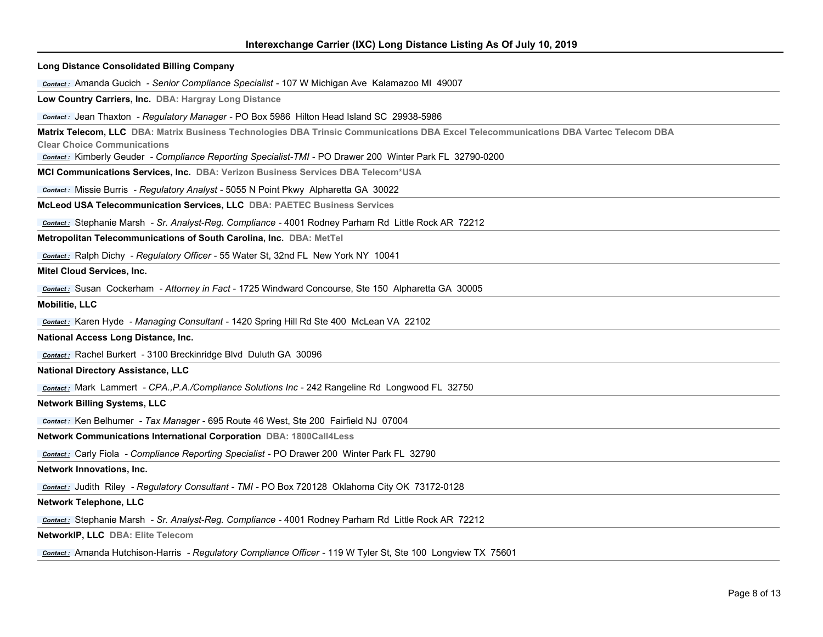| <b>Long Distance Consolidated Billing Company</b>                                                                                                                                                                                                                                      |
|----------------------------------------------------------------------------------------------------------------------------------------------------------------------------------------------------------------------------------------------------------------------------------------|
| <b>Contact:</b> Amanda Gucich - Senior Compliance Specialist - 107 W Michigan Ave Kalamazoo MI 49007                                                                                                                                                                                   |
| Low Country Carriers, Inc. DBA: Hargray Long Distance                                                                                                                                                                                                                                  |
| Contact: Jean Thaxton - Regulatory Manager - PO Box 5986 Hilton Head Island SC 29938-5986                                                                                                                                                                                              |
| Matrix Telecom, LLC DBA: Matrix Business Technologies DBA Trinsic Communications DBA Excel Telecommunications DBA Vartec Telecom DBA<br><b>Clear Choice Communications</b><br>Contact: Kimberly Geuder - Compliance Reporting Specialist-TMI - PO Drawer 200 Winter Park FL 32790-0200 |
| MCI Communications Services, Inc. DBA: Verizon Business Services DBA Telecom*USA                                                                                                                                                                                                       |
| <b>Contact:</b> Missie Burris - Regulatory Analyst - 5055 N Point Pkwy Alpharetta GA 30022                                                                                                                                                                                             |
| McLeod USA Telecommunication Services, LLC DBA: PAETEC Business Services                                                                                                                                                                                                               |
| Contact: Stephanie Marsh - Sr. Analyst-Reg. Compliance - 4001 Rodney Parham Rd Little Rock AR 72212                                                                                                                                                                                    |
| Metropolitan Telecommunications of South Carolina, Inc. DBA: MetTel                                                                                                                                                                                                                    |
| Contact: Ralph Dichy - Regulatory Officer - 55 Water St, 32nd FL New York NY 10041                                                                                                                                                                                                     |
| Mitel Cloud Services, Inc.                                                                                                                                                                                                                                                             |
| Contact: Susan Cockerham - Attorney in Fact - 1725 Windward Concourse, Ste 150 Alpharetta GA 30005                                                                                                                                                                                     |
| <b>Mobilitie, LLC</b>                                                                                                                                                                                                                                                                  |
| <b>Contact:</b> Karen Hyde - Managing Consultant - 1420 Spring Hill Rd Ste 400 McLean VA 22102                                                                                                                                                                                         |
| National Access Long Distance, Inc.                                                                                                                                                                                                                                                    |
| Contact: Rachel Burkert - 3100 Breckinridge Blvd Duluth GA 30096                                                                                                                                                                                                                       |
| <b>National Directory Assistance, LLC</b>                                                                                                                                                                                                                                              |
| <b>Contact:</b> Mark Lammert - CPA., P.A./Compliance Solutions Inc - 242 Rangeline Rd Longwood FL 32750                                                                                                                                                                                |
| <b>Network Billing Systems, LLC</b>                                                                                                                                                                                                                                                    |
| contact: Ken Belhumer - Tax Manager - 695 Route 46 West, Ste 200 Fairfield NJ 07004                                                                                                                                                                                                    |
| Network Communications International Corporation DBA: 1800Call4Less                                                                                                                                                                                                                    |
| <b>Contact:</b> Carly Fiola - Compliance Reporting Specialist - PO Drawer 200 Winter Park FL 32790                                                                                                                                                                                     |
| Network Innovations, Inc.                                                                                                                                                                                                                                                              |
| Contact: Judith Riley - Regulatory Consultant - TMI - PO Box 720128 Oklahoma City OK 73172-0128                                                                                                                                                                                        |
| <b>Network Telephone, LLC</b>                                                                                                                                                                                                                                                          |
| Contact: Stephanie Marsh - Sr. Analyst-Reg. Compliance - 4001 Rodney Parham Rd Little Rock AR 72212                                                                                                                                                                                    |
| NetworkIP, LLC DBA: Elite Telecom                                                                                                                                                                                                                                                      |
| contact: Amanda Hutchison-Harris - Regulatory Compliance Officer - 119 W Tyler St, Ste 100 Longview TX 75601                                                                                                                                                                           |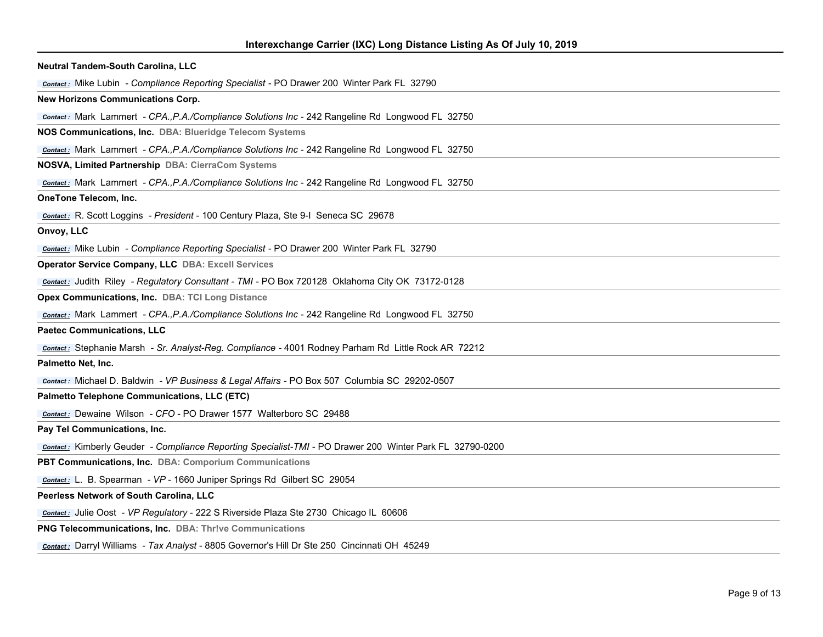| Neutral Tandem-South Carolina, LLC                                                                       |
|----------------------------------------------------------------------------------------------------------|
| <b>Contact:</b> Mike Lubin - Compliance Reporting Specialist - PO Drawer 200 Winter Park FL 32790        |
| <b>New Horizons Communications Corp.</b>                                                                 |
| <b>Contact:</b> Mark Lammert - CPA., P.A./Compliance Solutions Inc - 242 Rangeline Rd Longwood FL 32750  |
| NOS Communications, Inc. DBA: Blueridge Telecom Systems                                                  |
| <b>Contact:</b> Mark Lammert - CPA., P.A./Compliance Solutions Inc - 242 Rangeline Rd Longwood FL 32750  |
| NOSVA, Limited Partnership DBA: CierraCom Systems                                                        |
| Contact: Mark Lammert - CPA., P.A./Compliance Solutions Inc - 242 Rangeline Rd Longwood FL 32750         |
| OneTone Telecom, Inc.                                                                                    |
| Contact: R. Scott Loggins - President - 100 Century Plaza, Ste 9-I Seneca SC 29678                       |
| Onvoy, LLC                                                                                               |
| <b>Contact:</b> Mike Lubin - Compliance Reporting Specialist - PO Drawer 200 Winter Park FL 32790        |
| <b>Operator Service Company, LLC DBA: Excell Services</b>                                                |
| Contact: Judith Riley - Regulatory Consultant - TMI - PO Box 720128 Oklahoma City OK 73172-0128          |
| Opex Communications, Inc. DBA: TCI Long Distance                                                         |
| <b>Contact:</b> Mark Lammert - CPA., P.A./Compliance Solutions Inc - 242 Rangeline Rd Longwood FL 32750  |
| <b>Paetec Communications, LLC</b>                                                                        |
| Contact: Stephanie Marsh - Sr. Analyst-Reg. Compliance - 4001 Rodney Parham Rd Little Rock AR 72212      |
| Palmetto Net, Inc.                                                                                       |
| <b>Contact:</b> Michael D. Baldwin - VP Business & Legal Affairs - PO Box 507 Columbia SC 29202-0507     |
| Palmetto Telephone Communications, LLC (ETC)                                                             |
| Contact: Dewaine Wilson - CFO - PO Drawer 1577 Walterboro SC 29488                                       |
| Pay Tel Communications, Inc.                                                                             |
| Contact: Kimberly Geuder - Compliance Reporting Specialist-TMI - PO Drawer 200 Winter Park FL 32790-0200 |
| PBT Communications, Inc. DBA: Comporium Communications                                                   |
| contact: L. B. Spearman - VP - 1660 Juniper Springs Rd Gilbert SC 29054                                  |
| Peerless Network of South Carolina, LLC                                                                  |
| <b>Contact:</b> Julie Oost - VP Regulatory - 222 S Riverside Plaza Ste 2730 Chicago IL 60606             |
| <b>PNG Telecommunications, Inc. DBA: Thrive Communications</b>                                           |
| Contact: Darryl Williams - Tax Analyst - 8805 Governor's Hill Dr Ste 250 Cincinnati OH 45249             |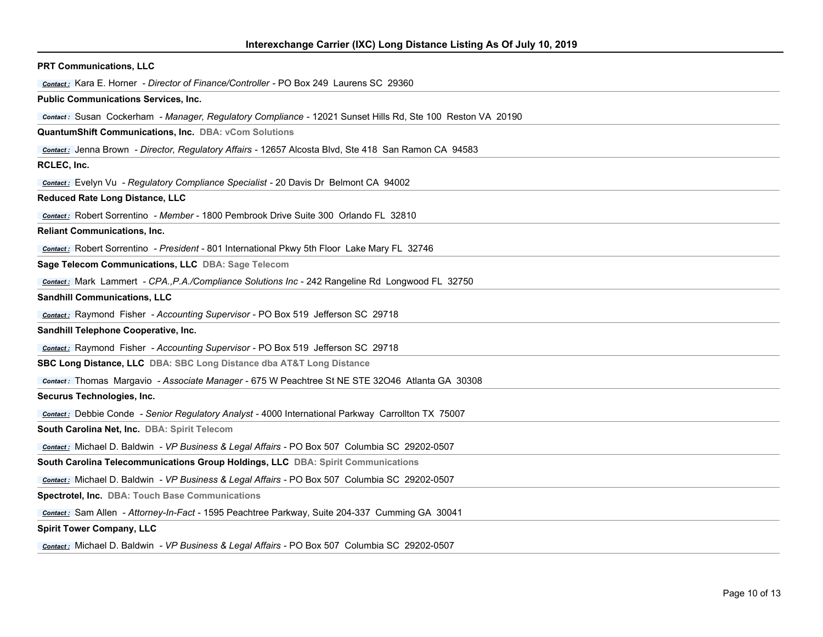| <b>PRT Communications, LLC</b>                                                                             |
|------------------------------------------------------------------------------------------------------------|
| Contact: Kara E. Horner - Director of Finance/Controller - PO Box 249 Laurens SC 29360                     |
| <b>Public Communications Services, Inc.</b>                                                                |
| Contact: Susan Cockerham - Manager, Regulatory Compliance - 12021 Sunset Hills Rd, Ste 100 Reston VA 20190 |
| <b>QuantumShift Communications, Inc. DBA: vCom Solutions</b>                                               |
| Contact: Jenna Brown - Director, Regulatory Affairs - 12657 Alcosta Blvd, Ste 418 San Ramon CA 94583       |
| RCLEC, Inc.                                                                                                |
| <b>Contact:</b> Evelyn Vu - Regulatory Compliance Specialist - 20 Davis Dr Belmont CA 94002                |
| <b>Reduced Rate Long Distance, LLC</b>                                                                     |
| Contact: Robert Sorrentino - Member - 1800 Pembrook Drive Suite 300 Orlando FL 32810                       |
| <b>Reliant Communications, Inc.</b>                                                                        |
| <b>Contact:</b> Robert Sorrentino - President - 801 International Pkwy 5th Floor Lake Mary FL 32746        |
| Sage Telecom Communications, LLC DBA: Sage Telecom                                                         |
| Contact: Mark Lammert - CPA., P.A./Compliance Solutions Inc - 242 Rangeline Rd Longwood FL 32750           |
| <b>Sandhill Communications, LLC</b>                                                                        |
| <b>Contact:</b> Raymond Fisher - Accounting Supervisor - PO Box 519 Jefferson SC 29718                     |
| Sandhill Telephone Cooperative, Inc.                                                                       |
| <b>Contact:</b> Raymond Fisher - Accounting Supervisor - PO Box 519 Jefferson SC 29718                     |
| SBC Long Distance, LLC DBA: SBC Long Distance dba AT&T Long Distance                                       |
| Contact: Thomas Margavio - Associate Manager - 675 W Peachtree St NE STE 32046 Atlanta GA 30308            |
| Securus Technologies, Inc.                                                                                 |
| <b>Contact:</b> Debbie Conde - Senior Regulatory Analyst - 4000 International Parkway Carrollton TX 75007  |
| South Carolina Net, Inc. DBA: Spirit Telecom                                                               |
| <b>Contact:</b> Michael D. Baldwin - VP Business & Legal Affairs - PO Box 507 Columbia SC 29202-0507       |
| South Carolina Telecommunications Group Holdings, LLC DBA: Spirit Communications                           |
| Contact: Michael D. Baldwin - VP Business & Legal Affairs - PO Box 507 Columbia SC 29202-0507              |
| Spectrotel, Inc. DBA: Touch Base Communications                                                            |
| Contact: Sam Allen - Attorney-In-Fact - 1595 Peachtree Parkway, Suite 204-337 Cumming GA 30041             |
| <b>Spirit Tower Company, LLC</b>                                                                           |
|                                                                                                            |

*Contact :* Michael D. Baldwin *- VP Business & Legal Affairs* - PO Box 507 Columbia SC 29202-0507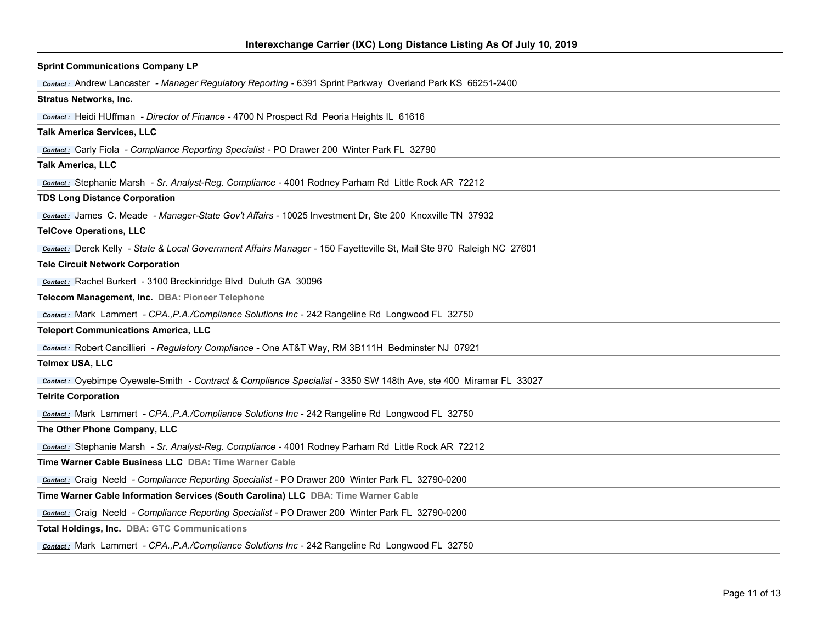| <b>Sprint Communications Company LP</b>                                                                              |
|----------------------------------------------------------------------------------------------------------------------|
| Contact: Andrew Lancaster - Manager Regulatory Reporting - 6391 Sprint Parkway Overland Park KS 66251-2400           |
| <b>Stratus Networks, Inc.</b>                                                                                        |
| <b>Contact:</b> Heidi HUffman - Director of Finance - 4700 N Prospect Rd Peoria Heights IL 61616                     |
| <b>Talk America Services, LLC</b>                                                                                    |
| <b>Contact:</b> Carly Fiola - Compliance Reporting Specialist - PO Drawer 200 Winter Park FL 32790                   |
| <b>Talk America, LLC</b>                                                                                             |
| Contact: Stephanie Marsh - Sr. Analyst-Reg. Compliance - 4001 Rodney Parham Rd Little Rock AR 72212                  |
| <b>TDS Long Distance Corporation</b>                                                                                 |
| Contact: James C. Meade - Manager-State Gov't Affairs - 10025 Investment Dr, Ste 200 Knoxville TN 37932              |
| <b>TelCove Operations, LLC</b>                                                                                       |
| contact: Derek Kelly - State & Local Government Affairs Manager - 150 Fayetteville St, Mail Ste 970 Raleigh NC 27601 |
| <b>Tele Circuit Network Corporation</b>                                                                              |
| Contact: Rachel Burkert - 3100 Breckinridge Blvd Duluth GA 30096                                                     |
| Telecom Management, Inc. DBA: Pioneer Telephone                                                                      |
| <b>Contact:</b> Mark Lammert - CPA., P.A./Compliance Solutions Inc - 242 Rangeline Rd Longwood FL 32750              |
| <b>Teleport Communications America, LLC</b>                                                                          |
| <b>Contact:</b> Robert Cancillieri - Regulatory Compliance - One AT&T Way, RM 3B111H Bedminster NJ 07921             |
| <b>Telmex USA, LLC</b>                                                                                               |
| Contact: Oyebimpe Oyewale-Smith - Contract & Compliance Specialist - 3350 SW 148th Ave, ste 400 Miramar FL 33027     |
| <b>Telrite Corporation</b>                                                                                           |
| <b>Contact:</b> Mark Lammert - CPA., P.A./Compliance Solutions Inc - 242 Rangeline Rd Longwood FL 32750              |
| The Other Phone Company, LLC                                                                                         |
| Contact: Stephanie Marsh - Sr. Analyst-Reg. Compliance - 4001 Rodney Parham Rd Little Rock AR 72212                  |
| Time Warner Cable Business LLC DBA: Time Warner Cable                                                                |
| <b>Contact:</b> Craig Neeld - Compliance Reporting Specialist - PO Drawer 200 Winter Park FL 32790-0200              |
| Time Warner Cable Information Services (South Carolina) LLC DBA: Time Warner Cable                                   |
| <b>Contact:</b> Craig Neeld - Compliance Reporting Specialist - PO Drawer 200 Winter Park FL 32790-0200              |
| Total Holdings, Inc. DBA: GTC Communications                                                                         |
| Contact: Mark Lammert - CPA., P.A./Compliance Solutions Inc - 242 Rangeline Rd Longwood FL 32750                     |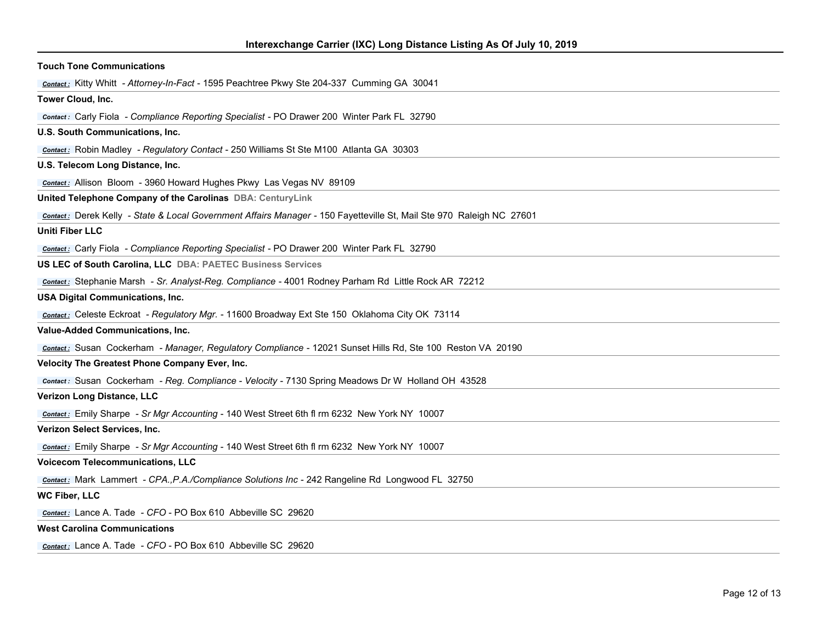| <b>Touch Tone Communications</b>                                                                                     |
|----------------------------------------------------------------------------------------------------------------------|
| <b>Contact:</b> Kitty Whitt - Attorney-In-Fact - 1595 Peachtree Pkwy Ste 204-337 Cumming GA 30041                    |
| Tower Cloud, Inc.                                                                                                    |
| <b>Contact:</b> Carly Fiola - Compliance Reporting Specialist - PO Drawer 200 Winter Park FL 32790                   |
| U.S. South Communications, Inc.                                                                                      |
| <b>Contact:</b> Robin Madley - Regulatory Contact - 250 Williams St Ste M100 Atlanta GA 30303                        |
| U.S. Telecom Long Distance, Inc.                                                                                     |
| Contact: Allison Bloom - 3960 Howard Hughes Pkwy Las Vegas NV 89109                                                  |
| United Telephone Company of the Carolinas DBA: CenturyLink                                                           |
| contact: Derek Kelly - State & Local Government Affairs Manager - 150 Fayetteville St, Mail Ste 970 Raleigh NC 27601 |
| <b>Uniti Fiber LLC</b>                                                                                               |
| <b>Contact:</b> Carly Fiola - Compliance Reporting Specialist - PO Drawer 200 Winter Park FL 32790                   |
| US LEC of South Carolina, LLC DBA: PAETEC Business Services                                                          |
| Contact: Stephanie Marsh - Sr. Analyst-Reg. Compliance - 4001 Rodney Parham Rd Little Rock AR 72212                  |
| <b>USA Digital Communications, Inc.</b>                                                                              |
| <b>Contact:</b> Celeste Eckroat - Regulatory Mgr. - 11600 Broadway Ext Ste 150 Oklahoma City OK 73114                |
| <b>Value-Added Communications, Inc.</b>                                                                              |
| Contact: Susan Cockerham - Manager, Regulatory Compliance - 12021 Sunset Hills Rd, Ste 100 Reston VA 20190           |
| Velocity The Greatest Phone Company Ever, Inc.                                                                       |
| Contact: Susan Cockerham - Reg. Compliance - Velocity - 7130 Spring Meadows Dr W Holland OH 43528                    |
| Verizon Long Distance, LLC                                                                                           |
| contact: Emily Sharpe - Sr Mgr Accounting - 140 West Street 6th fl rm 6232 New York NY 10007                         |
| Verizon Select Services, Inc.                                                                                        |
| contact: Emily Sharpe - Sr Mgr Accounting - 140 West Street 6th fl rm 6232 New York NY 10007                         |
| <b>Voicecom Telecommunications, LLC</b>                                                                              |
| <b>Contact:</b> Mark Lammert - CPA., P.A./Compliance Solutions Inc - 242 Rangeline Rd Longwood FL 32750              |
| <b>WC Fiber, LLC</b>                                                                                                 |
| Contact: Lance A. Tade - CFO - PO Box 610 Abbeville SC 29620                                                         |
| <b>West Carolina Communications</b>                                                                                  |
| Contact: Lance A. Tade - CFO - PO Box 610 Abbeville SC 29620                                                         |